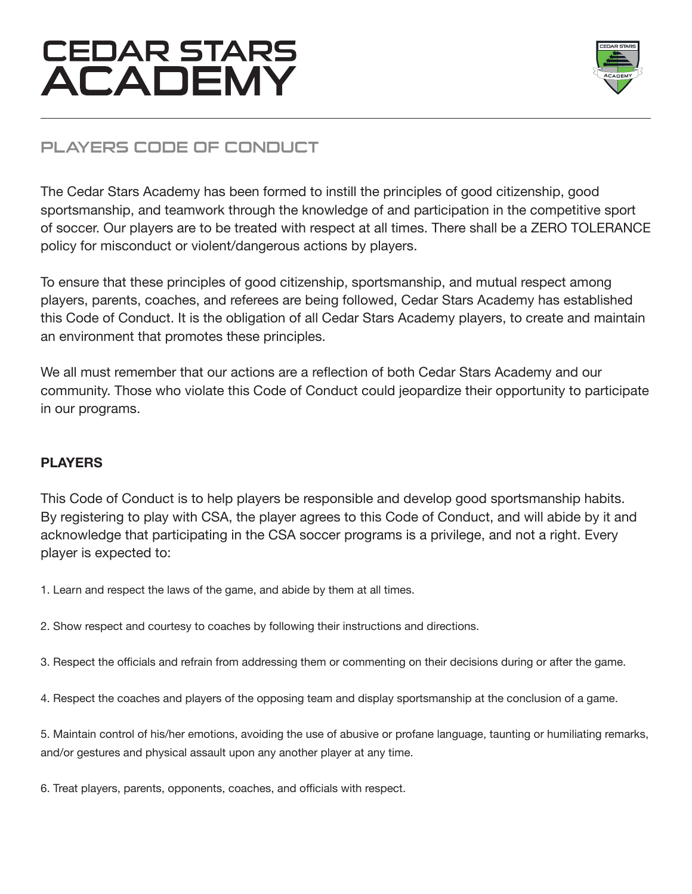

## PLAYERS CODE OF CONDUCT

The Cedar Stars Academy has been formed to instill the principles of good citizenship, good sportsmanship, and teamwork through the knowledge of and participation in the competitive sport of soccer. Our players are to be treated with respect at all times. There shall be a ZERO TOLERANCE policy for misconduct or violent/dangerous actions by players.

To ensure that these principles of good citizenship, sportsmanship, and mutual respect among players, parents, coaches, and referees are being followed, Cedar Stars Academy has established this Code of Conduct. It is the obligation of all Cedar Stars Academy players, to create and maintain an environment that promotes these principles.

We all must remember that our actions are a reflection of both Cedar Stars Academy and our community. Those who violate this Code of Conduct could jeopardize their opportunity to participate in our programs.

### **PLAYERS**

This Code of Conduct is to help players be responsible and develop good sportsmanship habits. By registering to play with CSA, the player agrees to this Code of Conduct, and will abide by it and acknowledge that participating in the CSA soccer programs is a privilege, and not a right. Every player is expected to:

1. Learn and respect the laws of the game, and abide by them at all times.

2. Show respect and courtesy to coaches by following their instructions and directions.

3. Respect the officials and refrain from addressing them or commenting on their decisions during or after the game.

4. Respect the coaches and players of the opposing team and display sportsmanship at the conclusion of a game.

5. Maintain control of his/her emotions, avoiding the use of abusive or profane language, taunting or humiliating remarks, and/or gestures and physical assault upon any another player at any time.

6. Treat players, parents, opponents, coaches, and officials with respect.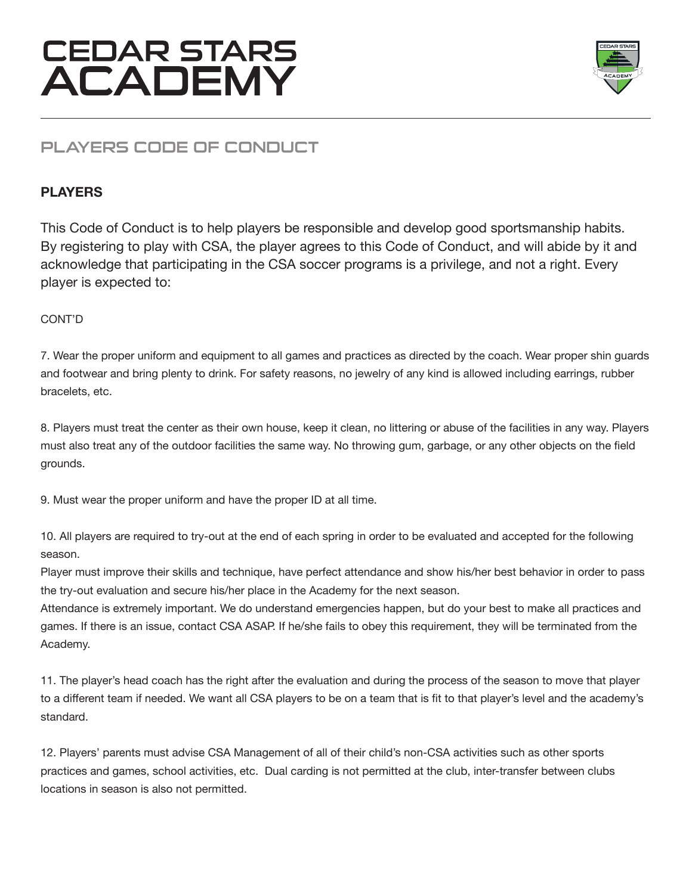

## PLAYERS CODE OF CONDUCT

#### **PLAYERS**

This Code of Conduct is to help players be responsible and develop good sportsmanship habits. By registering to play with CSA, the player agrees to this Code of Conduct, and will abide by it and acknowledge that participating in the CSA soccer programs is a privilege, and not a right. Every player is expected to:

#### CONT'D

7. Wear the proper uniform and equipment to all games and practices as directed by the coach. Wear proper shin guards and footwear and bring plenty to drink. For safety reasons, no jewelry of any kind is allowed including earrings, rubber bracelets, etc.

8. Players must treat the center as their own house, keep it clean, no littering or abuse of the facilities in any way. Players must also treat any of the outdoor facilities the same way. No throwing gum, garbage, or any other objects on the field grounds.

9. Must wear the proper uniform and have the proper ID at all time.

10. All players are required to try-out at the end of each spring in order to be evaluated and accepted for the following season.

Player must improve their skills and technique, have perfect attendance and show his/her best behavior in order to pass the try-out evaluation and secure his/her place in the Academy for the next season.

Attendance is extremely important. We do understand emergencies happen, but do your best to make all practices and games. If there is an issue, contact CSA ASAP. If he/she fails to obey this requirement, they will be terminated from the Academy.

11. The player's head coach has the right after the evaluation and during the process of the season to move that player to a different team if needed. We want all CSA players to be on a team that is fit to that player's level and the academy's standard.

12. Players' parents must advise CSA Management of all of their child's non-CSA activities such as other sports practices and games, school activities, etc. Dual carding is not permitted at the club, inter-transfer between clubs locations in season is also not permitted.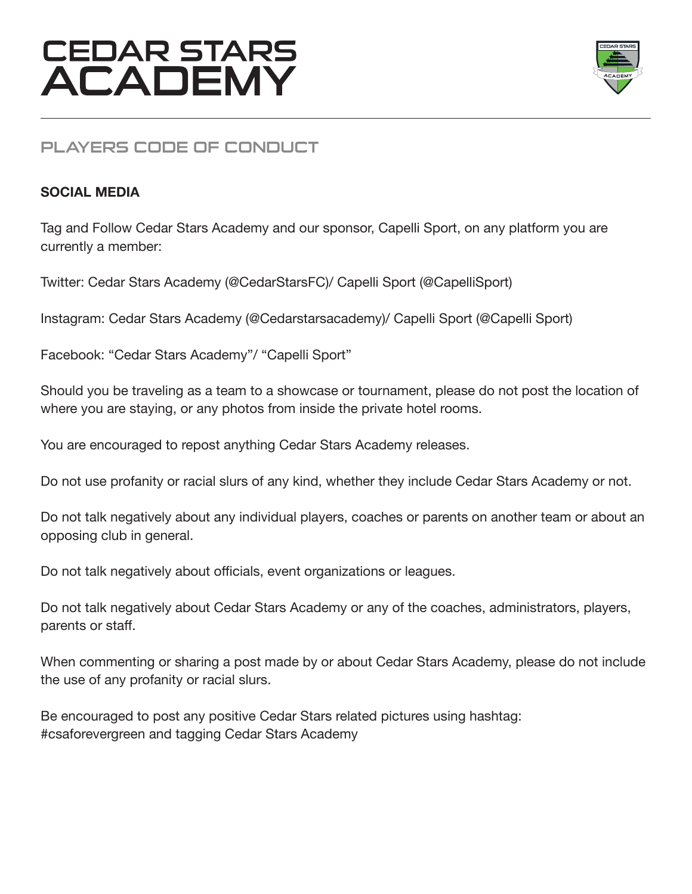

## PLAYERS CODE OF CONDUCT

### **SOCIAL MEDIA**

Tag and Follow Cedar Stars Academy and our sponsor, Capelli Sport, on any platform you are currently a member:

Twitter: Cedar Stars Academy (@CedarStarsFC)/ Capelli Sport (@CapelliSport)

Instagram: Cedar Stars Academy (@Cedarstarsacademy)/ Capelli Sport (@Capelli Sport)

Facebook: "Cedar Stars Academy"/ "Capelli Sport"

Should you be traveling as a team to a showcase or tournament, please do not post the location of where you are staying, or any photos from inside the private hotel rooms.

You are encouraged to repost anything Cedar Stars Academy releases.

Do not use profanity or racial slurs of any kind, whether they include Cedar Stars Academy or not.

Do not talk negatively about any individual players, coaches or parents on another team or about an opposing club in general.

Do not talk negatively about officials, event organizations or leagues.

Do not talk negatively about Cedar Stars Academy or any of the coaches, administrators, players, parents or staff.

When commenting or sharing a post made by or about Cedar Stars Academy, please do not include the use of any profanity or racial slurs.

Be encouraged to post any positive Cedar Stars related pictures using hashtag: #csaforevergreen and tagging Cedar Stars Academy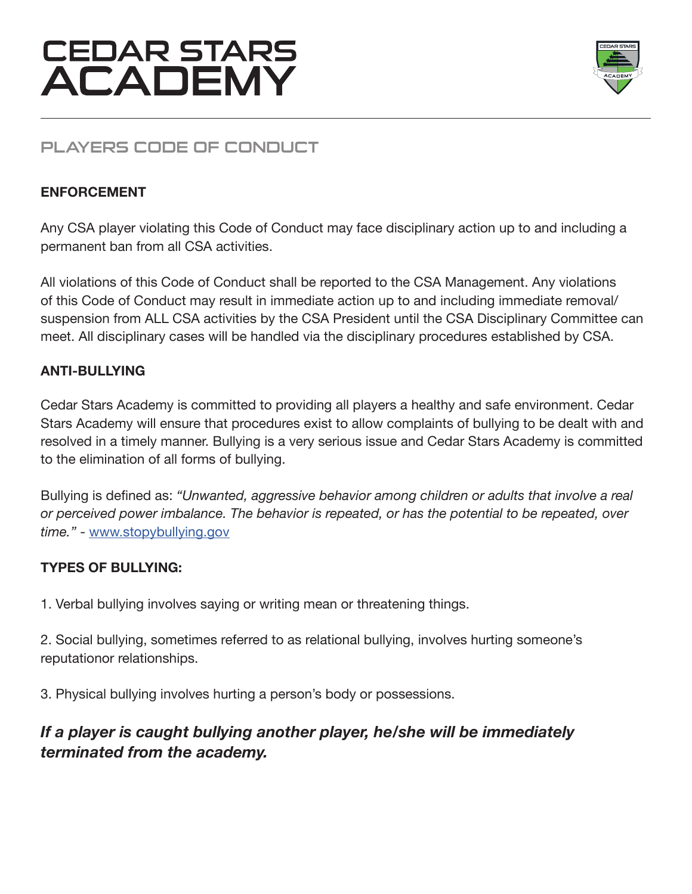

## PLAYERS CODE OF CONDUCT

#### **ENFORCEMENT**

Any CSA player violating this Code of Conduct may face disciplinary action up to and including a permanent ban from all CSA activities.

All violations of this Code of Conduct shall be reported to the CSA Management. Any violations of this Code of Conduct may result in immediate action up to and including immediate removal/ suspension from ALL CSA activities by the CSA President until the CSA Disciplinary Committee can meet. All disciplinary cases will be handled via the disciplinary procedures established by CSA.

#### **ANTI-BULLYING**

Cedar Stars Academy is committed to providing all players a healthy and safe environment. Cedar Stars Academy will ensure that procedures exist to allow complaints of bullying to be dealt with and resolved in a timely manner. Bullying is a very serious issue and Cedar Stars Academy is committed to the elimination of all forms of bullying.

Bullying is defined as: *"Unwanted, aggressive behavior among children or adults that involve a real or perceived power imbalance. The behavior is repeated, or has the potential to be repeated, over time."* - www.stopybullying.gov

#### **TYPES OF BULLYING:**

1. Verbal bullying involves saying or writing mean or threatening things.

2. Social bullying, sometimes referred to as relational bullying, involves hurting someone's reputationor relationships.

3. Physical bullying involves hurting a person's body or possessions.

### *If a player is caught bullying another player, he/she will be immediately terminated from the academy.*